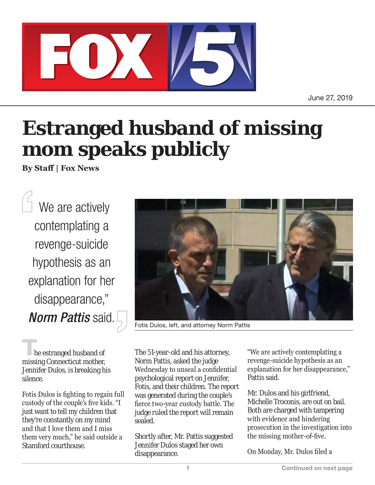

June 27, 2019

## **Estranged husband of missing mom speaks publicly**

**By Staff | Fox News**

We are actively contemplating a revenge-suicide hypothesis as an explanation for her disappearance," *Norm Pattis* said.

**T**he estranged husband of missing Connecticut mother, Jennifer Dulos, is breaking his silence.

Fotis Dulos is fighting to regain full custody of the couple's five kids. "I just want to tell my children that they're constantly on my mind and that I love them and I miss them very much," he said outside a Stamford courthouse.



Fotis Dulos, left, and attorney Norm Pattis

The 51-year-old and his attorney, Norm Pattis, asked the judge Wednesday to unseal a confidential psychological report on Jennifer, Fotis, and their children. The report was generated during the couple's fierce two-year custody battle. The judge ruled the report will remain sealed.

Shortly after, Mr. Pattis suggested Jennifer Dulos staged her own disappearance.

"We are actively contemplating a revenge-suicide hypothesis as an explanation for her disappearance," Pattis said.

Mr. Dulos and his girlfriend, Michelle Troconis, are out on bail. Both are charged with tampering with evidence and hindering prosecution in the investigation into the missing mother-of-five.

On Monday, Mr. Dulos filed a